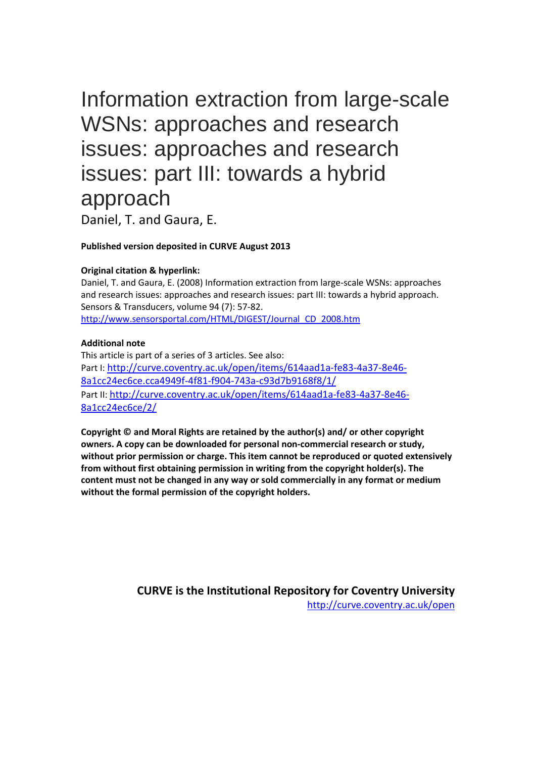# Information extraction from large-scale WSNs: approaches and research issues: approaches and research issues: part III: towards a hybrid approach

Daniel, T. and Gaura, E.

#### **Published version deposited in CURVE August 2013**

#### **Original citation & hyperlink:**

Daniel, T. and Gaura, E. (2008) Information extraction from large-scale WSNs: approaches and research issues: approaches and research issues: part III: towards a hybrid approach. Sensors & Transducers, volume 94 (7): 57-82. [http://www.sensorsportal.com/HTML/DIGEST/Journal\\_CD\\_2008.htm](http://www.sensorsportal.com/HTML/DIGEST/Journal_CD_2008.htm)

#### **Additional note**

This article is part of a series of 3 articles. See also: Part I: [http://curve.coventry.ac.uk/open/items/614aad1a-fe83-4a37-8e46-](http://curve.coventry.ac.uk/open/items/614aad1a-fe83-4a37-8e46-8a1cc24ec6ce.cca4949f-4f81-f904-743a-c93d7b9168f8/1/) [8a1cc24ec6ce.cca4949f-4f81-f904-743a-c93d7b9168f8/1/](http://curve.coventry.ac.uk/open/items/614aad1a-fe83-4a37-8e46-8a1cc24ec6ce.cca4949f-4f81-f904-743a-c93d7b9168f8/1/) Part II: [http://curve.coventry.ac.uk/open/items/614aad1a-fe83-4a37-8e46-](http://curve.coventry.ac.uk/open/items/614aad1a-fe83-4a37-8e46-8a1cc24ec6ce/2/) [8a1cc24ec6ce/2/](http://curve.coventry.ac.uk/open/items/614aad1a-fe83-4a37-8e46-8a1cc24ec6ce/2/)

**Copyright © and Moral Rights are retained by the author(s) and/ or other copyright owners. A copy can be downloaded for personal non-commercial research or study, without prior permission or charge. This item cannot be reproduced or quoted extensively from without first obtaining permission in writing from the copyright holder(s). The content must not be changed in any way or sold commercially in any format or medium without the formal permission of the copyright holders.** 

> **CURVE is the Institutional Repository for Coventry University** <http://curve.coventry.ac.uk/open>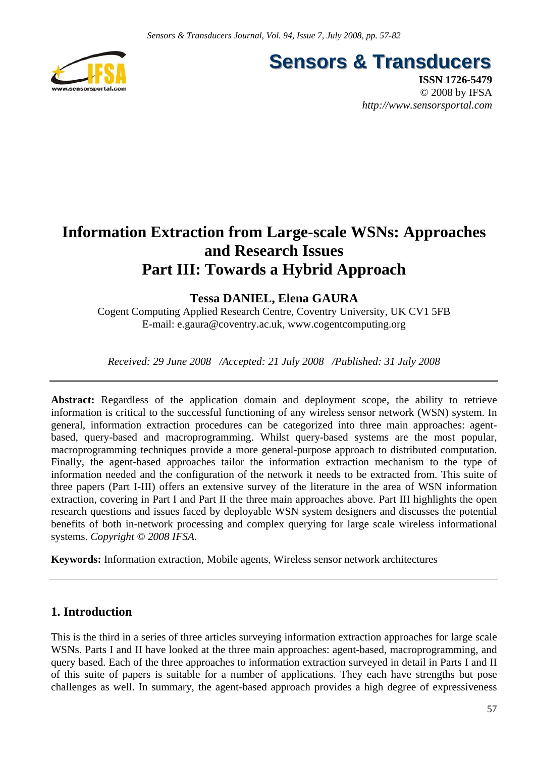

**Sensors & Transducers** 

**ISSN 1726-5479** © 2008 by IFSA *http://www.sensorsportal.com*

# **Information Extraction from Large-scale WSNs: Approaches and Research Issues Part III: Towards a Hybrid Approach**

# **Tessa DANIEL, Elena GAURA**

Cogent Computing Applied Research Centre, Coventry University, UK CV1 5FB E-mail: e.gaura@coventry.ac.uk, www.cogentcomputing.org

*Received: 29 June 2008 /Accepted: 21 July 2008 /Published: 31 July 2008*

Abstract: Regardless of the application domain and deployment scope, the ability to retrieve information is critical to the successful functioning of any wireless sensor network (WSN) system. In general, information extraction procedures can be categorized into three main approaches: agentbased, query-based and macroprogramming. Whilst query-based systems are the most popular, macroprogramming techniques provide a more general-purpose approach to distributed computation. Finally, the agent-based approaches tailor the information extraction mechanism to the type of information needed and the configuration of the network it needs to be extracted from. This suite of three papers (Part I-III) offers an extensive survey of the literature in the area of WSN information extraction, covering in Part I and Part II the three main approaches above. Part III highlights the open research questions and issues faced by deployable WSN system designers and discusses the potential benefits of both in-network processing and complex querying for large scale wireless informational systems. *Copyright © 2008 IFSA.*

**Keywords:** Information extraction, Mobile agents, Wireless sensor network architectures

# **1. Introduction**

This is the third in a series of three articles surveying information extraction approaches for large scale WSNs. Parts I and II have looked at the three main approaches: agent-based, macroprogramming, and query based. Each of the three approaches to information extraction surveyed in detail in Parts I and II of this suite of papers is suitable for a number of applications. They each have strengths but pose challenges as well. In summary, the agent-based approach provides a high degree of expressiveness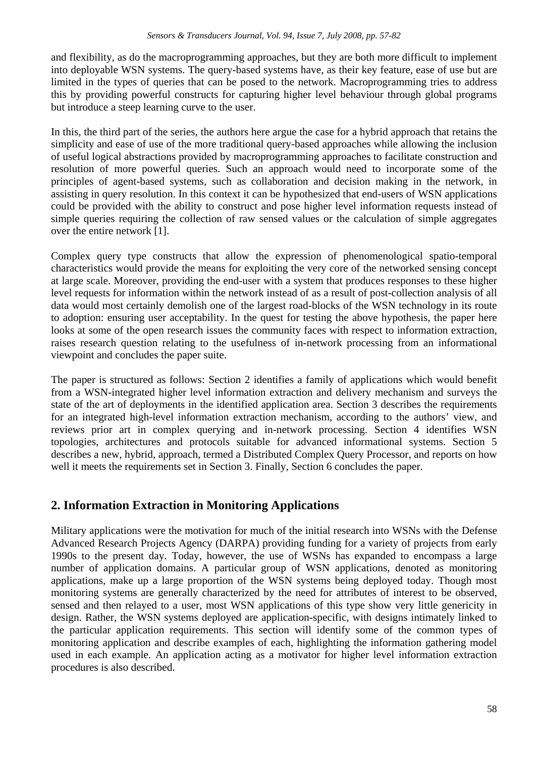and flexibility, as do the macroprogramming approaches, but they are both more difficult to implement into deployable WSN systems. The query-based systems have, as their key feature, ease of use but are limited in the types of queries that can be posed to the network. Macroprogramming tries to address this by providing powerful constructs for capturing higher level behaviour through global programs but introduce a steep learning curve to the user.

In this, the third part of the series, the authors here argue the case for a hybrid approach that retains the simplicity and ease of use of the more traditional query-based approaches while allowing the inclusion of useful logical abstractions provided by macroprogramming approaches to facilitate construction and resolution of more powerful queries. Such an approach would need to incorporate some of the principles of agent-based systems, such as collaboration and decision making in the network, in assisting in query resolution. In this context it can be hypothesized that end-users of WSN applications could be provided with the ability to construct and pose higher level information requests instead of simple queries requiring the collection of raw sensed values or the calculation of simple aggregates over the entire network [1].

Complex query type constructs that allow the expression of phenomenological spatio-temporal characteristics would provide the means for exploiting the very core of the networked sensing concept at large scale. Moreover, providing the end-user with a system that produces responses to these higher level requests for information within the network instead of as a result of post-collection analysis of all data would most certainly demolish one of the largest road-blocks of the WSN technology in its route to adoption: ensuring user acceptability. In the quest for testing the above hypothesis, the paper here looks at some of the open research issues the community faces with respect to information extraction, raises research question relating to the usefulness of in-network processing from an informational viewpoint and concludes the paper suite.

The paper is structured as follows: Section 2 identifies a family of applications which would benefit from a WSN-integrated higher level information extraction and delivery mechanism and surveys the state of the art of deployments in the identified application area. Section 3 describes the requirements for an integrated high-level information extraction mechanism, according to the authors' view, and reviews prior art in complex querying and in-network processing. Section 4 identifies WSN topologies, architectures and protocols suitable for advanced informational systems. Section 5 describes a new, hybrid, approach, termed a Distributed Complex Query Processor, and reports on how well it meets the requirements set in Section 3. Finally, Section 6 concludes the paper.

# **2. Information Extraction in Monitoring Applications**

Military applications were the motivation for much of the initial research into WSNs with the Defense Advanced Research Projects Agency (DARPA) providing funding for a variety of projects from early 1990s to the present day. Today, however, the use of WSNs has expanded to encompass a large number of application domains. A particular group of WSN applications, denoted as monitoring applications, make up a large proportion of the WSN systems being deployed today. Though most monitoring systems are generally characterized by the need for attributes of interest to be observed, sensed and then relayed to a user, most WSN applications of this type show very little genericity in design. Rather, the WSN systems deployed are application-specific, with designs intimately linked to the particular application requirements. This section will identify some of the common types of monitoring application and describe examples of each, highlighting the information gathering model used in each example. An application acting as a motivator for higher level information extraction procedures is also described.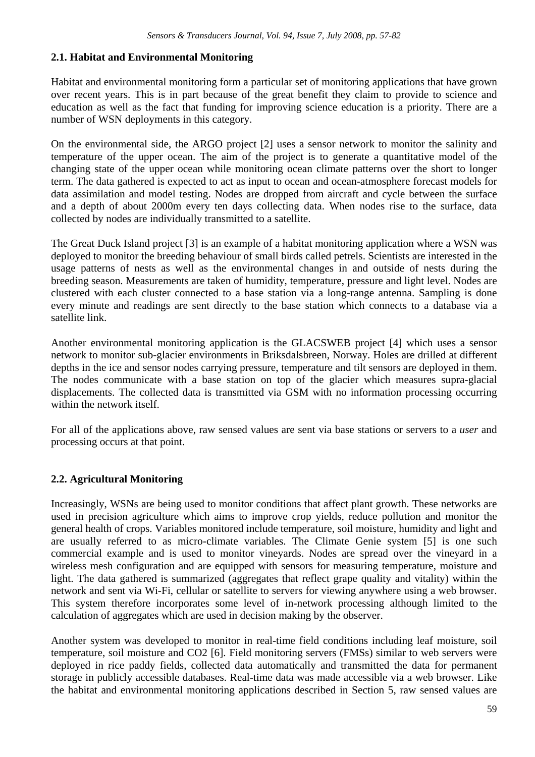# **2.1. Habitat and Environmental Monitoring**

Habitat and environmental monitoring form a particular set of monitoring applications that have grown over recent years. This is in part because of the great benefit they claim to provide to science and education as well as the fact that funding for improving science education is a priority. There are a number of WSN deployments in this category.

On the environmental side, the ARGO project [2] uses a sensor network to monitor the salinity and temperature of the upper ocean. The aim of the project is to generate a quantitative model of the changing state of the upper ocean while monitoring ocean climate patterns over the short to longer term. The data gathered is expected to act as input to ocean and ocean-atmosphere forecast models for data assimilation and model testing. Nodes are dropped from aircraft and cycle between the surface and a depth of about 2000m every ten days collecting data. When nodes rise to the surface, data collected by nodes are individually transmitted to a satellite.

The Great Duck Island project [3] is an example of a habitat monitoring application where a WSN was deployed to monitor the breeding behaviour of small birds called petrels. Scientists are interested in the usage patterns of nests as well as the environmental changes in and outside of nests during the breeding season. Measurements are taken of humidity, temperature, pressure and light level. Nodes are clustered with each cluster connected to a base station via a long-range antenna. Sampling is done every minute and readings are sent directly to the base station which connects to a database via a satellite link.

Another environmental monitoring application is the GLACSWEB project [4] which uses a sensor network to monitor sub-glacier environments in Briksdalsbreen, Norway. Holes are drilled at different depths in the ice and sensor nodes carrying pressure, temperature and tilt sensors are deployed in them. The nodes communicate with a base station on top of the glacier which measures supra-glacial displacements. The collected data is transmitted via GSM with no information processing occurring within the network itself.

For all of the applications above, raw sensed values are sent via base stations or servers to a *user* and processing occurs at that point.

# **2.2. Agricultural Monitoring**

Increasingly, WSNs are being used to monitor conditions that affect plant growth. These networks are used in precision agriculture which aims to improve crop yields, reduce pollution and monitor the general health of crops. Variables monitored include temperature, soil moisture, humidity and light and are usually referred to as micro-climate variables. The Climate Genie system [5] is one such commercial example and is used to monitor vineyards. Nodes are spread over the vineyard in a wireless mesh configuration and are equipped with sensors for measuring temperature, moisture and light. The data gathered is summarized (aggregates that reflect grape quality and vitality) within the network and sent via Wi-Fi, cellular or satellite to servers for viewing anywhere using a web browser. This system therefore incorporates some level of in-network processing although limited to the calculation of aggregates which are used in decision making by the observer.

Another system was developed to monitor in real-time field conditions including leaf moisture, soil temperature, soil moisture and CO2 [6]. Field monitoring servers (FMSs) similar to web servers were deployed in rice paddy fields, collected data automatically and transmitted the data for permanent storage in publicly accessible databases. Real-time data was made accessible via a web browser. Like the habitat and environmental monitoring applications described in Section 5, raw sensed values are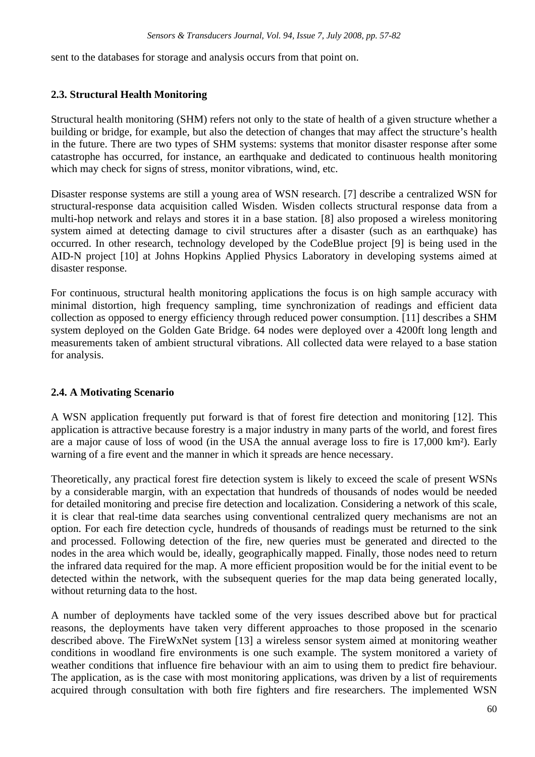sent to the databases for storage and analysis occurs from that point on.

# **2.3. Structural Health Monitoring**

Structural health monitoring (SHM) refers not only to the state of health of a given structure whether a building or bridge, for example, but also the detection of changes that may affect the structure's health in the future. There are two types of SHM systems: systems that monitor disaster response after some catastrophe has occurred, for instance, an earthquake and dedicated to continuous health monitoring which may check for signs of stress, monitor vibrations, wind, etc.

Disaster response systems are still a young area of WSN research. [7] describe a centralized WSN for structural-response data acquisition called Wisden. Wisden collects structural response data from a multi-hop network and relays and stores it in a base station. [8] also proposed a wireless monitoring system aimed at detecting damage to civil structures after a disaster (such as an earthquake) has occurred. In other research, technology developed by the CodeBlue project [9] is being used in the AID-N project [10] at Johns Hopkins Applied Physics Laboratory in developing systems aimed at disaster response.

For continuous, structural health monitoring applications the focus is on high sample accuracy with minimal distortion, high frequency sampling, time synchronization of readings and efficient data collection as opposed to energy efficiency through reduced power consumption. [11] describes a SHM system deployed on the Golden Gate Bridge. 64 nodes were deployed over a 4200ft long length and measurements taken of ambient structural vibrations. All collected data were relayed to a base station for analysis.

# **2.4. A Motivating Scenario**

A WSN application frequently put forward is that of forest fire detection and monitoring [12]. This application is attractive because forestry is a major industry in many parts of the world, and forest fires are a major cause of loss of wood (in the USA the annual average loss to fire is 17,000 km²). Early warning of a fire event and the manner in which it spreads are hence necessary.

Theoretically, any practical forest fire detection system is likely to exceed the scale of present WSNs by a considerable margin, with an expectation that hundreds of thousands of nodes would be needed for detailed monitoring and precise fire detection and localization. Considering a network of this scale, it is clear that real-time data searches using conventional centralized query mechanisms are not an option. For each fire detection cycle, hundreds of thousands of readings must be returned to the sink and processed. Following detection of the fire, new queries must be generated and directed to the nodes in the area which would be, ideally, geographically mapped. Finally, those nodes need to return the infrared data required for the map. A more efficient proposition would be for the initial event to be detected within the network, with the subsequent queries for the map data being generated locally, without returning data to the host.

A number of deployments have tackled some of the very issues described above but for practical reasons, the deployments have taken very different approaches to those proposed in the scenario described above. The FireWxNet system [13] a wireless sensor system aimed at monitoring weather conditions in woodland fire environments is one such example. The system monitored a variety of weather conditions that influence fire behaviour with an aim to using them to predict fire behaviour. The application, as is the case with most monitoring applications, was driven by a list of requirements acquired through consultation with both fire fighters and fire researchers. The implemented WSN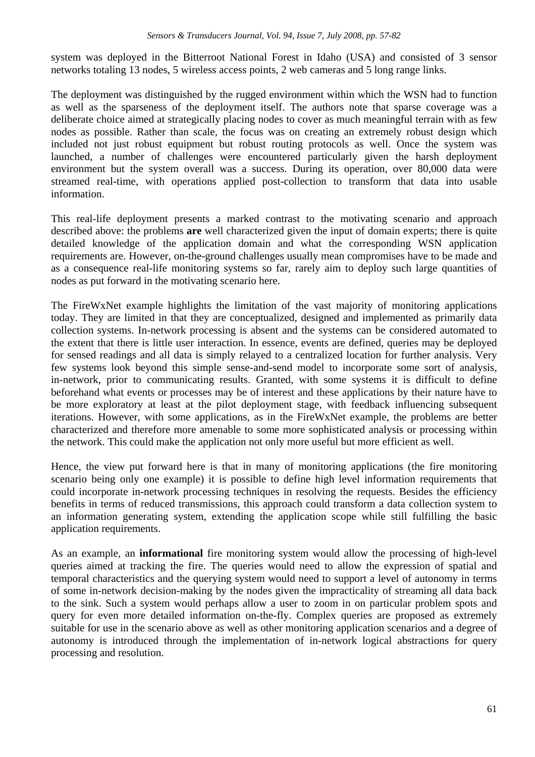system was deployed in the Bitterroot National Forest in Idaho (USA) and consisted of 3 sensor networks totaling 13 nodes, 5 wireless access points, 2 web cameras and 5 long range links.

The deployment was distinguished by the rugged environment within which the WSN had to function as well as the sparseness of the deployment itself. The authors note that sparse coverage was a deliberate choice aimed at strategically placing nodes to cover as much meaningful terrain with as few nodes as possible. Rather than scale, the focus was on creating an extremely robust design which included not just robust equipment but robust routing protocols as well. Once the system was launched, a number of challenges were encountered particularly given the harsh deployment environment but the system overall was a success. During its operation, over 80,000 data were streamed real-time, with operations applied post-collection to transform that data into usable information.

This real-life deployment presents a marked contrast to the motivating scenario and approach described above: the problems **are** well characterized given the input of domain experts; there is quite detailed knowledge of the application domain and what the corresponding WSN application requirements are. However, on-the-ground challenges usually mean compromises have to be made and as a consequence real-life monitoring systems so far, rarely aim to deploy such large quantities of nodes as put forward in the motivating scenario here.

The FireWxNet example highlights the limitation of the vast majority of monitoring applications today. They are limited in that they are conceptualized, designed and implemented as primarily data collection systems. In-network processing is absent and the systems can be considered automated to the extent that there is little user interaction. In essence, events are defined, queries may be deployed for sensed readings and all data is simply relayed to a centralized location for further analysis. Very few systems look beyond this simple sense-and-send model to incorporate some sort of analysis, in-network, prior to communicating results. Granted, with some systems it is difficult to define beforehand what events or processes may be of interest and these applications by their nature have to be more exploratory at least at the pilot deployment stage, with feedback influencing subsequent iterations. However, with some applications, as in the FireWxNet example, the problems are better characterized and therefore more amenable to some more sophisticated analysis or processing within the network. This could make the application not only more useful but more efficient as well.

Hence, the view put forward here is that in many of monitoring applications (the fire monitoring scenario being only one example) it is possible to define high level information requirements that could incorporate in-network processing techniques in resolving the requests. Besides the efficiency benefits in terms of reduced transmissions, this approach could transform a data collection system to an information generating system, extending the application scope while still fulfilling the basic application requirements.

As an example, an **informational** fire monitoring system would allow the processing of high-level queries aimed at tracking the fire. The queries would need to allow the expression of spatial and temporal characteristics and the querying system would need to support a level of autonomy in terms of some in-network decision-making by the nodes given the impracticality of streaming all data back to the sink. Such a system would perhaps allow a user to zoom in on particular problem spots and query for even more detailed information on-the-fly. Complex queries are proposed as extremely suitable for use in the scenario above as well as other monitoring application scenarios and a degree of autonomy is introduced through the implementation of in-network logical abstractions for query processing and resolution.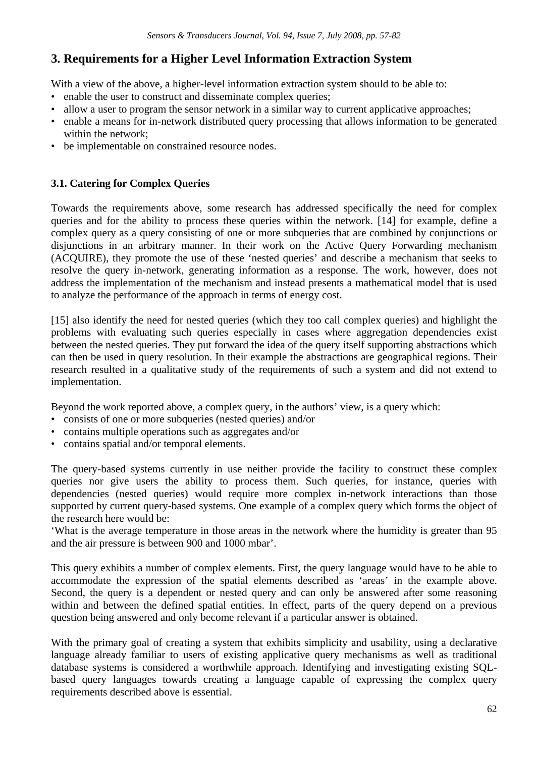# **3. Requirements for a Higher Level Information Extraction System**

With a view of the above, a higher-level information extraction system should to be able to:

- enable the user to construct and disseminate complex queries;
- allow a user to program the sensor network in a similar way to current applicative approaches;
- enable a means for in-network distributed query processing that allows information to be generated within the network;
- be implementable on constrained resource nodes.

# **3.1. Catering for Complex Queries**

Towards the requirements above, some research has addressed specifically the need for complex queries and for the ability to process these queries within the network. [14] for example, define a complex query as a query consisting of one or more subqueries that are combined by conjunctions or disjunctions in an arbitrary manner. In their work on the Active Query Forwarding mechanism (ACQUIRE), they promote the use of these 'nested queries' and describe a mechanism that seeks to resolve the query in-network, generating information as a response. The work, however, does not address the implementation of the mechanism and instead presents a mathematical model that is used to analyze the performance of the approach in terms of energy cost.

[15] also identify the need for nested queries (which they too call complex queries) and highlight the problems with evaluating such queries especially in cases where aggregation dependencies exist between the nested queries. They put forward the idea of the query itself supporting abstractions which can then be used in query resolution. In their example the abstractions are geographical regions. Their research resulted in a qualitative study of the requirements of such a system and did not extend to implementation.

Beyond the work reported above, a complex query, in the authors' view, is a query which:

- consists of one or more subqueries (nested queries) and/or
- contains multiple operations such as aggregates and/or
- contains spatial and/or temporal elements.

The query-based systems currently in use neither provide the facility to construct these complex queries nor give users the ability to process them. Such queries, for instance, queries with dependencies (nested queries) would require more complex in-network interactions than those supported by current query-based systems. One example of a complex query which forms the object of the research here would be:

'What is the average temperature in those areas in the network where the humidity is greater than 95 and the air pressure is between 900 and 1000 mbar'.

This query exhibits a number of complex elements. First, the query language would have to be able to accommodate the expression of the spatial elements described as 'areas' in the example above. Second, the query is a dependent or nested query and can only be answered after some reasoning within and between the defined spatial entities. In effect, parts of the query depend on a previous question being answered and only become relevant if a particular answer is obtained.

With the primary goal of creating a system that exhibits simplicity and usability, using a declarative language already familiar to users of existing applicative query mechanisms as well as traditional database systems is considered a worthwhile approach. Identifying and investigating existing SQLbased query languages towards creating a language capable of expressing the complex query requirements described above is essential.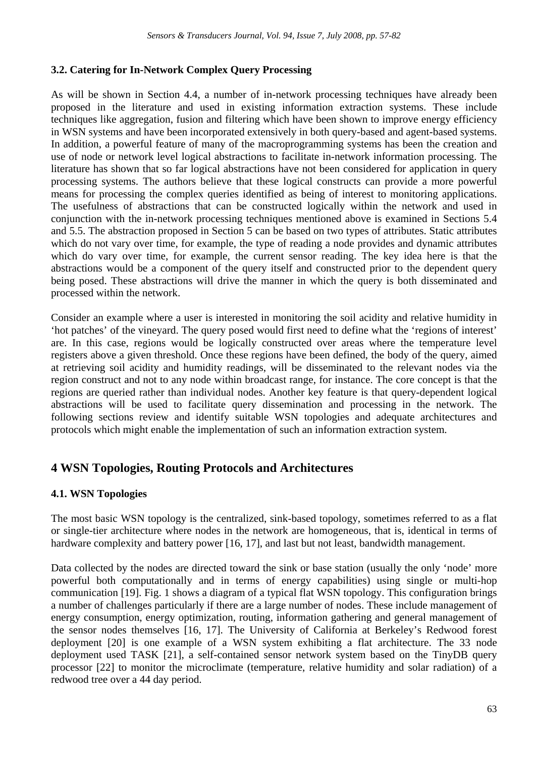# **3.2. Catering for In-Network Complex Query Processing**

As will be shown in Section 4.4, a number of in-network processing techniques have already been proposed in the literature and used in existing information extraction systems. These include techniques like aggregation, fusion and filtering which have been shown to improve energy efficiency in WSN systems and have been incorporated extensively in both query-based and agent-based systems. In addition, a powerful feature of many of the macroprogramming systems has been the creation and use of node or network level logical abstractions to facilitate in-network information processing. The literature has shown that so far logical abstractions have not been considered for application in query processing systems. The authors believe that these logical constructs can provide a more powerful means for processing the complex queries identified as being of interest to monitoring applications. The usefulness of abstractions that can be constructed logically within the network and used in conjunction with the in-network processing techniques mentioned above is examined in Sections 5.4 and 5.5. The abstraction proposed in Section 5 can be based on two types of attributes. Static attributes which do not vary over time, for example, the type of reading a node provides and dynamic attributes which do vary over time, for example, the current sensor reading. The key idea here is that the abstractions would be a component of the query itself and constructed prior to the dependent query being posed. These abstractions will drive the manner in which the query is both disseminated and processed within the network.

Consider an example where a user is interested in monitoring the soil acidity and relative humidity in 'hot patches' of the vineyard. The query posed would first need to define what the 'regions of interest' are. In this case, regions would be logically constructed over areas where the temperature level registers above a given threshold. Once these regions have been defined, the body of the query, aimed at retrieving soil acidity and humidity readings, will be disseminated to the relevant nodes via the region construct and not to any node within broadcast range, for instance. The core concept is that the regions are queried rather than individual nodes. Another key feature is that query-dependent logical abstractions will be used to facilitate query dissemination and processing in the network. The following sections review and identify suitable WSN topologies and adequate architectures and protocols which might enable the implementation of such an information extraction system.

# **4 WSN Topologies, Routing Protocols and Architectures**

# **4.1. WSN Topologies**

The most basic WSN topology is the centralized, sink-based topology, sometimes referred to as a flat or single-tier architecture where nodes in the network are homogeneous, that is, identical in terms of hardware complexity and battery power [16, 17], and last but not least, bandwidth management.

Data collected by the nodes are directed toward the sink or base station (usually the only 'node' more powerful both computationally and in terms of energy capabilities) using single or multi-hop communication [19]. Fig. 1 shows a diagram of a typical flat WSN topology. This configuration brings a number of challenges particularly if there are a large number of nodes. These include management of energy consumption, energy optimization, routing, information gathering and general management of the sensor nodes themselves [16, 17]. The University of California at Berkeley's Redwood forest deployment [20] is one example of a WSN system exhibiting a flat architecture. The 33 node deployment used TASK [21], a self-contained sensor network system based on the TinyDB query processor [22] to monitor the microclimate (temperature, relative humidity and solar radiation) of a redwood tree over a 44 day period.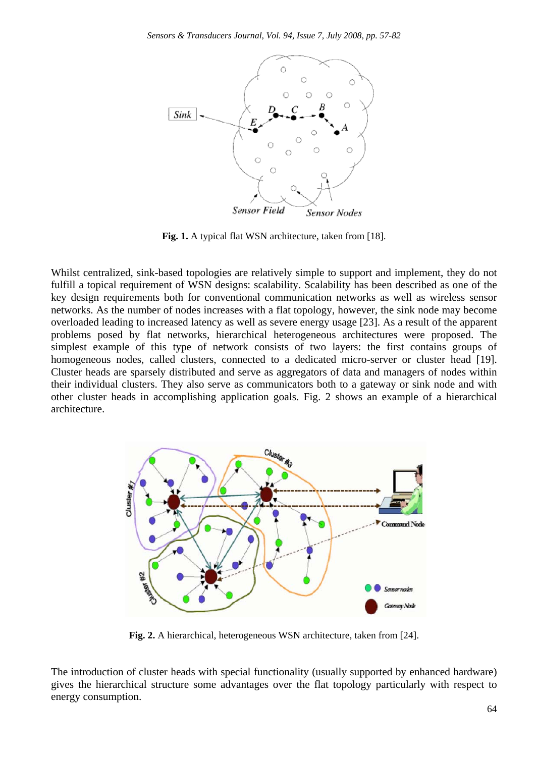

**Fig. 1.** A typical flat WSN architecture, taken from [18].

Whilst centralized, sink-based topologies are relatively simple to support and implement, they do not fulfill a topical requirement of WSN designs: scalability. Scalability has been described as one of the key design requirements both for conventional communication networks as well as wireless sensor networks. As the number of nodes increases with a flat topology, however, the sink node may become overloaded leading to increased latency as well as severe energy usage [23]. As a result of the apparent problems posed by flat networks, hierarchical heterogeneous architectures were proposed. The simplest example of this type of network consists of two layers: the first contains groups of homogeneous nodes, called clusters, connected to a dedicated micro-server or cluster head [19]. Cluster heads are sparsely distributed and serve as aggregators of data and managers of nodes within their individual clusters. They also serve as communicators both to a gateway or sink node and with other cluster heads in accomplishing application goals. Fig. 2 shows an example of a hierarchical architecture.



**Fig. 2.** A hierarchical, heterogeneous WSN architecture, taken from [24].

The introduction of cluster heads with special functionality (usually supported by enhanced hardware) gives the hierarchical structure some advantages over the flat topology particularly with respect to energy consumption.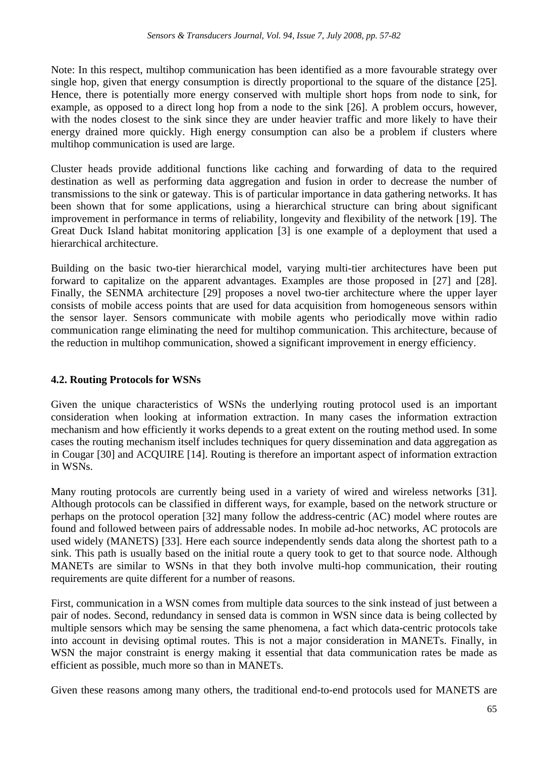Note: In this respect, multihop communication has been identified as a more favourable strategy over single hop, given that energy consumption is directly proportional to the square of the distance [25]. Hence, there is potentially more energy conserved with multiple short hops from node to sink, for example, as opposed to a direct long hop from a node to the sink [26]. A problem occurs, however, with the nodes closest to the sink since they are under heavier traffic and more likely to have their energy drained more quickly. High energy consumption can also be a problem if clusters where multihop communication is used are large.

Cluster heads provide additional functions like caching and forwarding of data to the required destination as well as performing data aggregation and fusion in order to decrease the number of transmissions to the sink or gateway. This is of particular importance in data gathering networks. It has been shown that for some applications, using a hierarchical structure can bring about significant improvement in performance in terms of reliability, longevity and flexibility of the network [19]. The Great Duck Island habitat monitoring application [3] is one example of a deployment that used a hierarchical architecture.

Building on the basic two-tier hierarchical model, varying multi-tier architectures have been put forward to capitalize on the apparent advantages. Examples are those proposed in [27] and [28]. Finally, the SENMA architecture [29] proposes a novel two-tier architecture where the upper layer consists of mobile access points that are used for data acquisition from homogeneous sensors within the sensor layer. Sensors communicate with mobile agents who periodically move within radio communication range eliminating the need for multihop communication. This architecture, because of the reduction in multihop communication, showed a significant improvement in energy efficiency.

# **4.2. Routing Protocols for WSNs**

Given the unique characteristics of WSNs the underlying routing protocol used is an important consideration when looking at information extraction. In many cases the information extraction mechanism and how efficiently it works depends to a great extent on the routing method used. In some cases the routing mechanism itself includes techniques for query dissemination and data aggregation as in Cougar [30] and ACQUIRE [14]. Routing is therefore an important aspect of information extraction in WSNs.

Many routing protocols are currently being used in a variety of wired and wireless networks [31]. Although protocols can be classified in different ways, for example, based on the network structure or perhaps on the protocol operation [32] many follow the address-centric (AC) model where routes are found and followed between pairs of addressable nodes. In mobile ad-hoc networks, AC protocols are used widely (MANETS) [33]. Here each source independently sends data along the shortest path to a sink. This path is usually based on the initial route a query took to get to that source node. Although MANETs are similar to WSNs in that they both involve multi-hop communication, their routing requirements are quite different for a number of reasons.

First, communication in a WSN comes from multiple data sources to the sink instead of just between a pair of nodes. Second, redundancy in sensed data is common in WSN since data is being collected by multiple sensors which may be sensing the same phenomena, a fact which data-centric protocols take into account in devising optimal routes. This is not a major consideration in MANETs. Finally, in WSN the major constraint is energy making it essential that data communication rates be made as efficient as possible, much more so than in MANETs.

Given these reasons among many others, the traditional end-to-end protocols used for MANETS are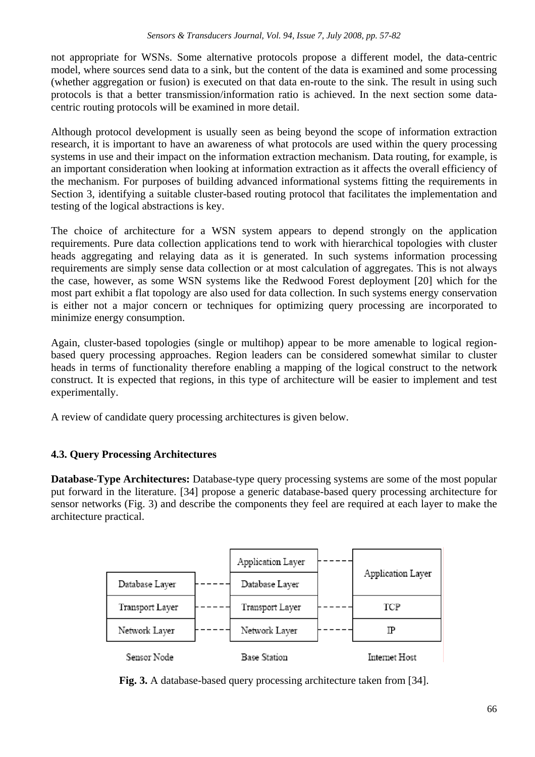not appropriate for WSNs. Some alternative protocols propose a different model, the data-centric model, where sources send data to a sink, but the content of the data is examined and some processing (whether aggregation or fusion) is executed on that data en-route to the sink. The result in using such protocols is that a better transmission/information ratio is achieved. In the next section some datacentric routing protocols will be examined in more detail.

Although protocol development is usually seen as being beyond the scope of information extraction research, it is important to have an awareness of what protocols are used within the query processing systems in use and their impact on the information extraction mechanism. Data routing, for example, is an important consideration when looking at information extraction as it affects the overall efficiency of the mechanism. For purposes of building advanced informational systems fitting the requirements in Section 3, identifying a suitable cluster-based routing protocol that facilitates the implementation and testing of the logical abstractions is key.

The choice of architecture for a WSN system appears to depend strongly on the application requirements. Pure data collection applications tend to work with hierarchical topologies with cluster heads aggregating and relaying data as it is generated. In such systems information processing requirements are simply sense data collection or at most calculation of aggregates. This is not always the case, however, as some WSN systems like the Redwood Forest deployment [20] which for the most part exhibit a flat topology are also used for data collection. In such systems energy conservation is either not a major concern or techniques for optimizing query processing are incorporated to minimize energy consumption.

Again, cluster-based topologies (single or multihop) appear to be more amenable to logical regionbased query processing approaches. Region leaders can be considered somewhat similar to cluster heads in terms of functionality therefore enabling a mapping of the logical construct to the network construct. It is expected that regions, in this type of architecture will be easier to implement and test experimentally.

A review of candidate query processing architectures is given below.

# **4.3. Query Processing Architectures**

**Database-Type Architectures:** Database-type query processing systems are some of the most popular put forward in the literature. [34] propose a generic database-based query processing architecture for sensor networks (Fig. 3) and describe the components they feel are required at each layer to make the architecture practical.

|                 | Application Layer |                   |
|-----------------|-------------------|-------------------|
| Database Layer  | Database Layer    | Application Layer |
| Transport Layer | Transport Layer   | TCP               |
| Network Layer   | Network Layer     |                   |
| Sensor Nodel    | Base Station      | Internet Host     |

**Fig. 3.** A database-based query processing architecture taken from [34].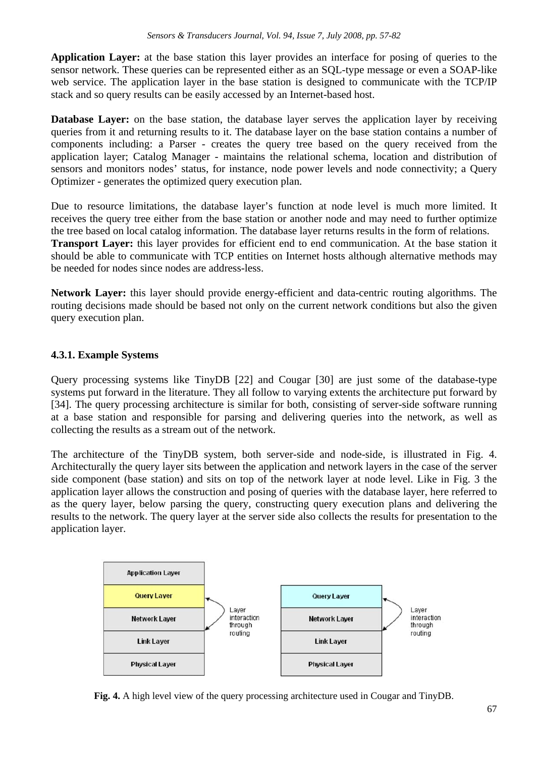**Application Layer:** at the base station this layer provides an interface for posing of queries to the sensor network. These queries can be represented either as an SQL-type message or even a SOAP-like web service. The application layer in the base station is designed to communicate with the TCP/IP stack and so query results can be easily accessed by an Internet-based host.

**Database Layer:** on the base station, the database layer serves the application layer by receiving queries from it and returning results to it. The database layer on the base station contains a number of components including: a Parser - creates the query tree based on the query received from the application layer; Catalog Manager - maintains the relational schema, location and distribution of sensors and monitors nodes' status, for instance, node power levels and node connectivity; a Query Optimizer - generates the optimized query execution plan.

Due to resource limitations, the database layer's function at node level is much more limited. It receives the query tree either from the base station or another node and may need to further optimize the tree based on local catalog information. The database layer returns results in the form of relations. **Transport Layer:** this layer provides for efficient end to end communication. At the base station it should be able to communicate with TCP entities on Internet hosts although alternative methods may be needed for nodes since nodes are address-less.

**Network Layer:** this layer should provide energy-efficient and data-centric routing algorithms. The routing decisions made should be based not only on the current network conditions but also the given query execution plan.

# **4.3.1. Example Systems**

Query processing systems like TinyDB [22] and Cougar [30] are just some of the database-type systems put forward in the literature. They all follow to varying extents the architecture put forward by [34]. The query processing architecture is similar for both, consisting of server-side software running at a base station and responsible for parsing and delivering queries into the network, as well as collecting the results as a stream out of the network.

The architecture of the TinyDB system, both server-side and node-side, is illustrated in Fig. 4. Architecturally the query layer sits between the application and network layers in the case of the server side component (base station) and sits on top of the network layer at node level. Like in Fig. 3 the application layer allows the construction and posing of queries with the database layer, here referred to as the query layer, below parsing the query, constructing query execution plans and delivering the results to the network. The query layer at the server side also collects the results for presentation to the application layer.



**Fig. 4.** A high level view of the query processing architecture used in Cougar and TinyDB.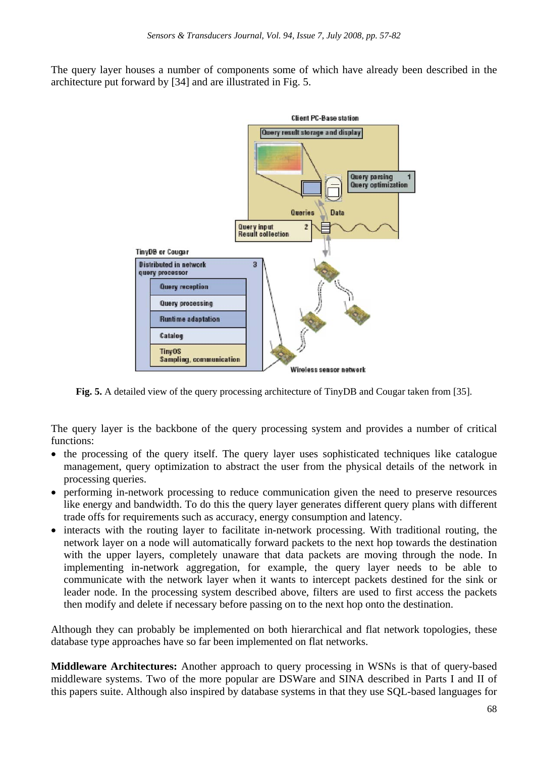The query layer houses a number of components some of which have already been described in the architecture put forward by [34] and are illustrated in Fig. 5.



**Fig. 5.** A detailed view of the query processing architecture of TinyDB and Cougar taken from [35].

The query layer is the backbone of the query processing system and provides a number of critical functions:

- the processing of the query itself. The query layer uses sophisticated techniques like catalogue management, query optimization to abstract the user from the physical details of the network in processing queries.
- performing in-network processing to reduce communication given the need to preserve resources like energy and bandwidth. To do this the query layer generates different query plans with different trade offs for requirements such as accuracy, energy consumption and latency.
- interacts with the routing layer to facilitate in-network processing. With traditional routing, the network layer on a node will automatically forward packets to the next hop towards the destination with the upper layers, completely unaware that data packets are moving through the node. In implementing in-network aggregation, for example, the query layer needs to be able to communicate with the network layer when it wants to intercept packets destined for the sink or leader node. In the processing system described above, filters are used to first access the packets then modify and delete if necessary before passing on to the next hop onto the destination.

Although they can probably be implemented on both hierarchical and flat network topologies, these database type approaches have so far been implemented on flat networks.

**Middleware Architectures:** Another approach to query processing in WSNs is that of query-based middleware systems. Two of the more popular are DSWare and SINA described in Parts I and II of this papers suite. Although also inspired by database systems in that they use SQL-based languages for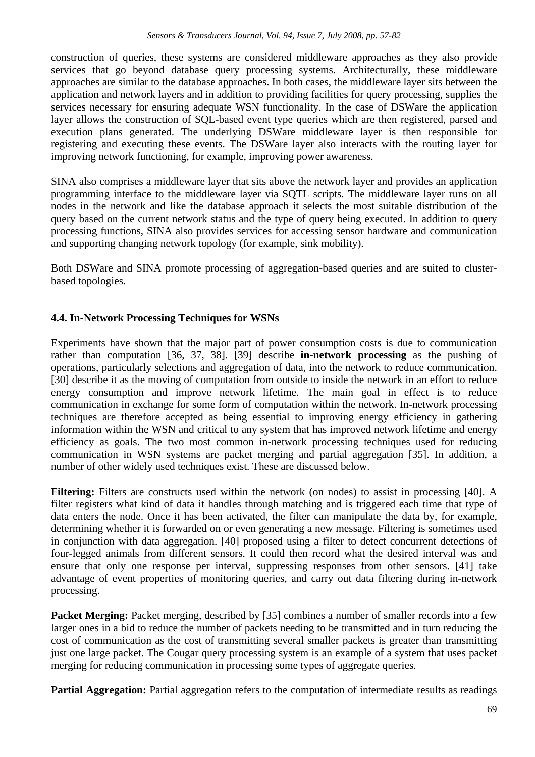construction of queries, these systems are considered middleware approaches as they also provide services that go beyond database query processing systems. Architecturally, these middleware approaches are similar to the database approaches. In both cases, the middleware layer sits between the application and network layers and in addition to providing facilities for query processing, supplies the services necessary for ensuring adequate WSN functionality. In the case of DSWare the application layer allows the construction of SQL-based event type queries which are then registered, parsed and execution plans generated. The underlying DSWare middleware layer is then responsible for registering and executing these events. The DSWare layer also interacts with the routing layer for improving network functioning, for example, improving power awareness.

SINA also comprises a middleware layer that sits above the network layer and provides an application programming interface to the middleware layer via SQTL scripts. The middleware layer runs on all nodes in the network and like the database approach it selects the most suitable distribution of the query based on the current network status and the type of query being executed. In addition to query processing functions, SINA also provides services for accessing sensor hardware and communication and supporting changing network topology (for example, sink mobility).

Both DSWare and SINA promote processing of aggregation-based queries and are suited to clusterbased topologies.

# **4.4. In-Network Processing Techniques for WSNs**

Experiments have shown that the major part of power consumption costs is due to communication rather than computation [36, 37, 38]. [39] describe **in-network processing** as the pushing of operations, particularly selections and aggregation of data, into the network to reduce communication. [30] describe it as the moving of computation from outside to inside the network in an effort to reduce energy consumption and improve network lifetime. The main goal in effect is to reduce communication in exchange for some form of computation within the network. In-network processing techniques are therefore accepted as being essential to improving energy efficiency in gathering information within the WSN and critical to any system that has improved network lifetime and energy efficiency as goals. The two most common in-network processing techniques used for reducing communication in WSN systems are packet merging and partial aggregation [35]. In addition, a number of other widely used techniques exist. These are discussed below.

**Filtering:** Filters are constructs used within the network (on nodes) to assist in processing [40]. A filter registers what kind of data it handles through matching and is triggered each time that type of data enters the node. Once it has been activated, the filter can manipulate the data by, for example, determining whether it is forwarded on or even generating a new message. Filtering is sometimes used in conjunction with data aggregation. [40] proposed using a filter to detect concurrent detections of four-legged animals from different sensors. It could then record what the desired interval was and ensure that only one response per interval, suppressing responses from other sensors. [41] take advantage of event properties of monitoring queries, and carry out data filtering during in-network processing.

**Packet Merging:** Packet merging, described by [35] combines a number of smaller records into a few larger ones in a bid to reduce the number of packets needing to be transmitted and in turn reducing the cost of communication as the cost of transmitting several smaller packets is greater than transmitting just one large packet. The Cougar query processing system is an example of a system that uses packet merging for reducing communication in processing some types of aggregate queries.

**Partial Aggregation:** Partial aggregation refers to the computation of intermediate results as readings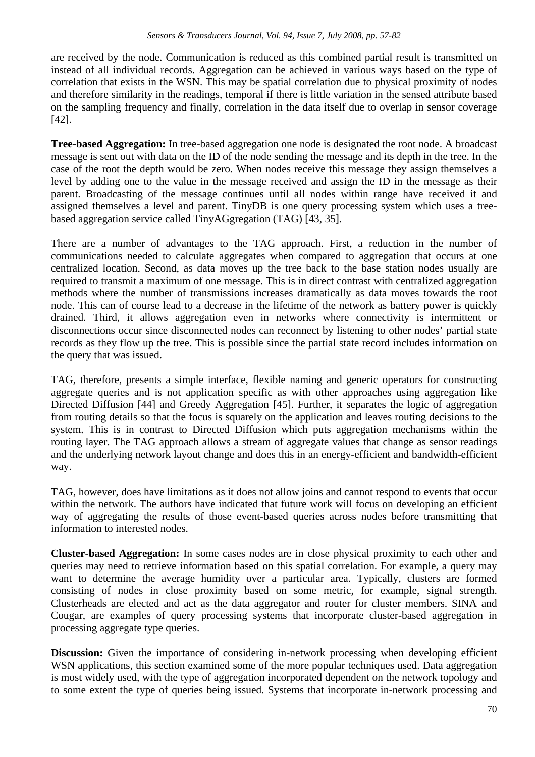are received by the node. Communication is reduced as this combined partial result is transmitted on instead of all individual records. Aggregation can be achieved in various ways based on the type of correlation that exists in the WSN. This may be spatial correlation due to physical proximity of nodes and therefore similarity in the readings, temporal if there is little variation in the sensed attribute based on the sampling frequency and finally, correlation in the data itself due to overlap in sensor coverage [42].

**Tree-based Aggregation:** In tree-based aggregation one node is designated the root node. A broadcast message is sent out with data on the ID of the node sending the message and its depth in the tree. In the case of the root the depth would be zero. When nodes receive this message they assign themselves a level by adding one to the value in the message received and assign the ID in the message as their parent. Broadcasting of the message continues until all nodes within range have received it and assigned themselves a level and parent. TinyDB is one query processing system which uses a treebased aggregation service called TinyAGgregation (TAG) [43, 35].

There are a number of advantages to the TAG approach. First, a reduction in the number of communications needed to calculate aggregates when compared to aggregation that occurs at one centralized location. Second, as data moves up the tree back to the base station nodes usually are required to transmit a maximum of one message. This is in direct contrast with centralized aggregation methods where the number of transmissions increases dramatically as data moves towards the root node. This can of course lead to a decrease in the lifetime of the network as battery power is quickly drained. Third, it allows aggregation even in networks where connectivity is intermittent or disconnections occur since disconnected nodes can reconnect by listening to other nodes' partial state records as they flow up the tree. This is possible since the partial state record includes information on the query that was issued.

TAG, therefore, presents a simple interface, flexible naming and generic operators for constructing aggregate queries and is not application specific as with other approaches using aggregation like Directed Diffusion [44] and Greedy Aggregation [45]. Further, it separates the logic of aggregation from routing details so that the focus is squarely on the application and leaves routing decisions to the system. This is in contrast to Directed Diffusion which puts aggregation mechanisms within the routing layer. The TAG approach allows a stream of aggregate values that change as sensor readings and the underlying network layout change and does this in an energy-efficient and bandwidth-efficient way.

TAG, however, does have limitations as it does not allow joins and cannot respond to events that occur within the network. The authors have indicated that future work will focus on developing an efficient way of aggregating the results of those event-based queries across nodes before transmitting that information to interested nodes.

**Cluster-based Aggregation:** In some cases nodes are in close physical proximity to each other and queries may need to retrieve information based on this spatial correlation. For example, a query may want to determine the average humidity over a particular area. Typically, clusters are formed consisting of nodes in close proximity based on some metric, for example, signal strength. Clusterheads are elected and act as the data aggregator and router for cluster members. SINA and Cougar, are examples of query processing systems that incorporate cluster-based aggregation in processing aggregate type queries.

**Discussion:** Given the importance of considering in-network processing when developing efficient WSN applications, this section examined some of the more popular techniques used. Data aggregation is most widely used, with the type of aggregation incorporated dependent on the network topology and to some extent the type of queries being issued. Systems that incorporate in-network processing and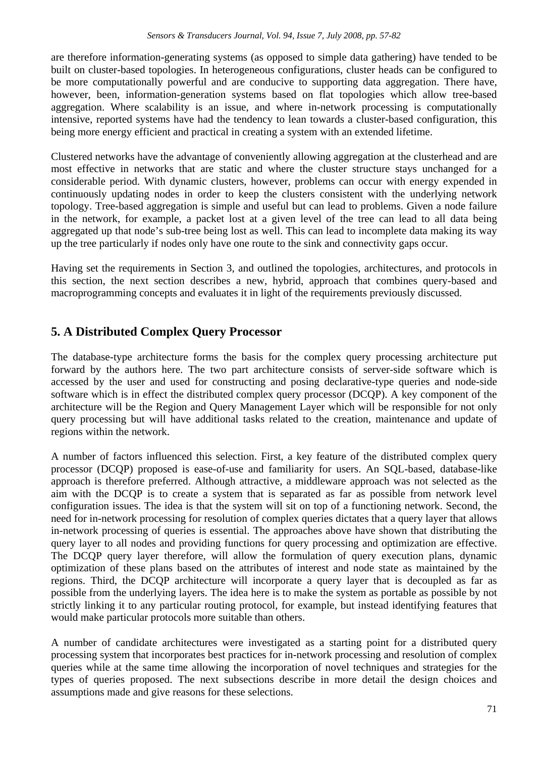are therefore information-generating systems (as opposed to simple data gathering) have tended to be built on cluster-based topologies. In heterogeneous configurations, cluster heads can be configured to be more computationally powerful and are conducive to supporting data aggregation. There have, however, been, information-generation systems based on flat topologies which allow tree-based aggregation. Where scalability is an issue, and where in-network processing is computationally intensive, reported systems have had the tendency to lean towards a cluster-based configuration, this being more energy efficient and practical in creating a system with an extended lifetime.

Clustered networks have the advantage of conveniently allowing aggregation at the clusterhead and are most effective in networks that are static and where the cluster structure stays unchanged for a considerable period. With dynamic clusters, however, problems can occur with energy expended in continuously updating nodes in order to keep the clusters consistent with the underlying network topology. Tree-based aggregation is simple and useful but can lead to problems. Given a node failure in the network, for example, a packet lost at a given level of the tree can lead to all data being aggregated up that node's sub-tree being lost as well. This can lead to incomplete data making its way up the tree particularly if nodes only have one route to the sink and connectivity gaps occur.

Having set the requirements in Section 3, and outlined the topologies, architectures, and protocols in this section, the next section describes a new, hybrid, approach that combines query-based and macroprogramming concepts and evaluates it in light of the requirements previously discussed.

# **5. A Distributed Complex Query Processor**

The database-type architecture forms the basis for the complex query processing architecture put forward by the authors here. The two part architecture consists of server-side software which is accessed by the user and used for constructing and posing declarative-type queries and node-side software which is in effect the distributed complex query processor (DCQP). A key component of the architecture will be the Region and Query Management Layer which will be responsible for not only query processing but will have additional tasks related to the creation, maintenance and update of regions within the network.

A number of factors influenced this selection. First, a key feature of the distributed complex query processor (DCQP) proposed is ease-of-use and familiarity for users. An SQL-based, database-like approach is therefore preferred. Although attractive, a middleware approach was not selected as the aim with the DCQP is to create a system that is separated as far as possible from network level configuration issues. The idea is that the system will sit on top of a functioning network. Second, the need for in-network processing for resolution of complex queries dictates that a query layer that allows in-network processing of queries is essential. The approaches above have shown that distributing the query layer to all nodes and providing functions for query processing and optimization are effective. The DCQP query layer therefore, will allow the formulation of query execution plans, dynamic optimization of these plans based on the attributes of interest and node state as maintained by the regions. Third, the DCQP architecture will incorporate a query layer that is decoupled as far as possible from the underlying layers. The idea here is to make the system as portable as possible by not strictly linking it to any particular routing protocol, for example, but instead identifying features that would make particular protocols more suitable than others.

A number of candidate architectures were investigated as a starting point for a distributed query processing system that incorporates best practices for in-network processing and resolution of complex queries while at the same time allowing the incorporation of novel techniques and strategies for the types of queries proposed. The next subsections describe in more detail the design choices and assumptions made and give reasons for these selections.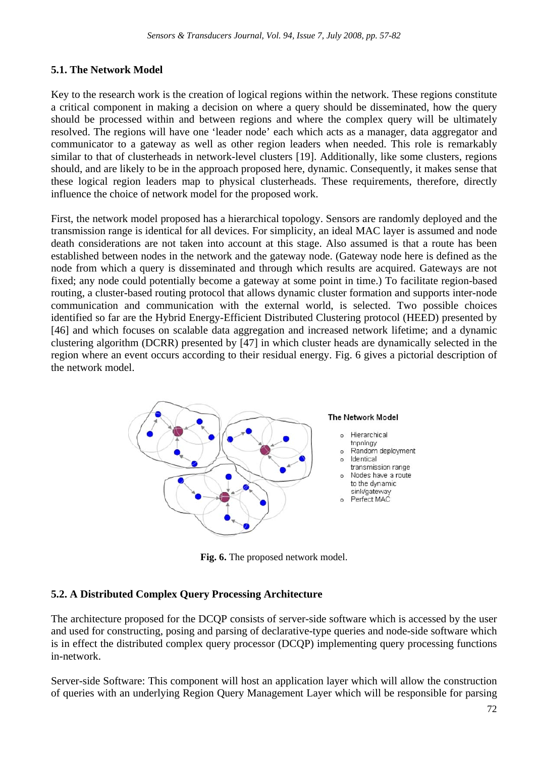# **5.1. The Network Model**

Key to the research work is the creation of logical regions within the network. These regions constitute a critical component in making a decision on where a query should be disseminated, how the query should be processed within and between regions and where the complex query will be ultimately resolved. The regions will have one 'leader node' each which acts as a manager, data aggregator and communicator to a gateway as well as other region leaders when needed. This role is remarkably similar to that of clusterheads in network-level clusters [19]. Additionally, like some clusters, regions should, and are likely to be in the approach proposed here, dynamic. Consequently, it makes sense that these logical region leaders map to physical clusterheads. These requirements, therefore, directly influence the choice of network model for the proposed work.

First, the network model proposed has a hierarchical topology. Sensors are randomly deployed and the transmission range is identical for all devices. For simplicity, an ideal MAC layer is assumed and node death considerations are not taken into account at this stage. Also assumed is that a route has been established between nodes in the network and the gateway node. (Gateway node here is defined as the node from which a query is disseminated and through which results are acquired. Gateways are not fixed; any node could potentially become a gateway at some point in time.) To facilitate region-based routing, a cluster-based routing protocol that allows dynamic cluster formation and supports inter-node communication and communication with the external world, is selected. Two possible choices identified so far are the Hybrid Energy-Efficient Distributed Clustering protocol (HEED) presented by [46] and which focuses on scalable data aggregation and increased network lifetime; and a dynamic clustering algorithm (DCRR) presented by [47] in which cluster heads are dynamically selected in the region where an event occurs according to their residual energy. Fig. 6 gives a pictorial description of the network model.



**Fig. 6.** The proposed network model.

# **5.2. A Distributed Complex Query Processing Architecture**

The architecture proposed for the DCQP consists of server-side software which is accessed by the user and used for constructing, posing and parsing of declarative-type queries and node-side software which is in effect the distributed complex query processor (DCQP) implementing query processing functions in-network.

Server-side Software: This component will host an application layer which will allow the construction of queries with an underlying Region Query Management Layer which will be responsible for parsing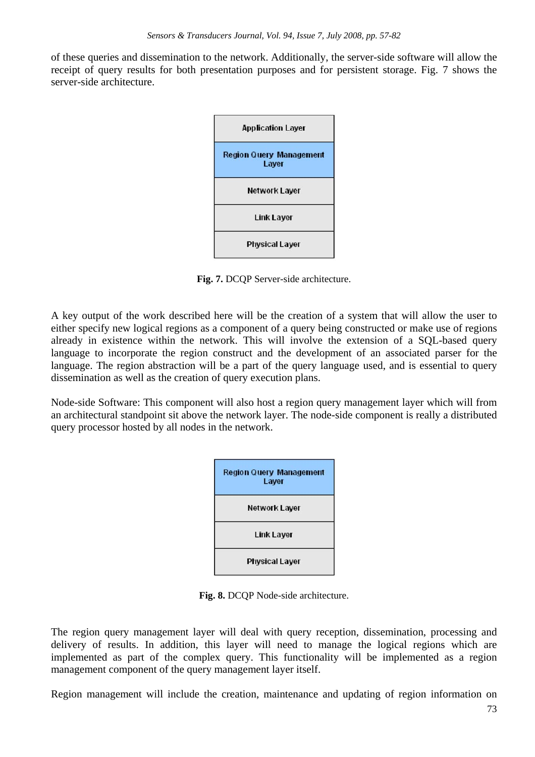of these queries and dissemination to the network. Additionally, the server-side software will allow the receipt of query results for both presentation purposes and for persistent storage. Fig. 7 shows the server-side architecture.



**Fig. 7.** DCQP Server-side architecture.

A key output of the work described here will be the creation of a system that will allow the user to either specify new logical regions as a component of a query being constructed or make use of regions already in existence within the network. This will involve the extension of a SQL-based query language to incorporate the region construct and the development of an associated parser for the language. The region abstraction will be a part of the query language used, and is essential to query dissemination as well as the creation of query execution plans.

Node-side Software: This component will also host a region query management layer which will from an architectural standpoint sit above the network layer. The node-side component is really a distributed query processor hosted by all nodes in the network.



**Fig. 8.** DCQP Node-side architecture.

The region query management layer will deal with query reception, dissemination, processing and delivery of results. In addition, this layer will need to manage the logical regions which are implemented as part of the complex query. This functionality will be implemented as a region management component of the query management layer itself.

Region management will include the creation, maintenance and updating of region information on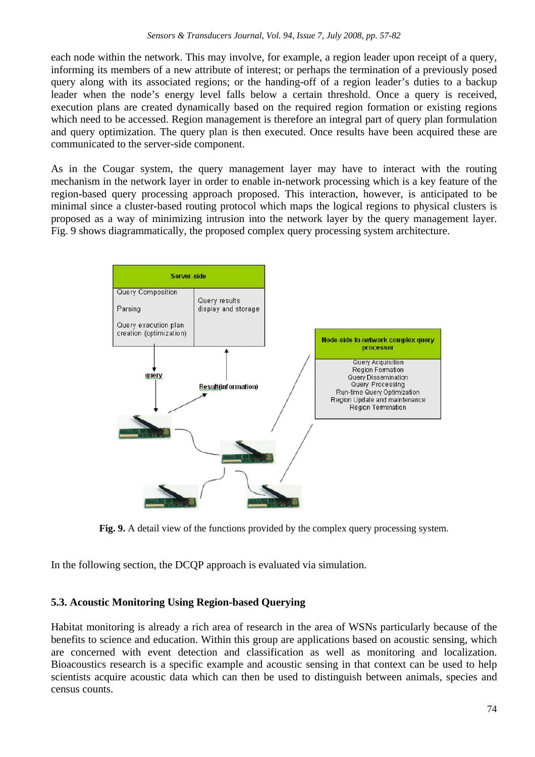each node within the network. This may involve, for example, a region leader upon receipt of a query, informing its members of a new attribute of interest; or perhaps the termination of a previously posed query along with its associated regions; or the handing-off of a region leader's duties to a backup leader when the node's energy level falls below a certain threshold. Once a query is received, execution plans are created dynamically based on the required region formation or existing regions which need to be accessed. Region management is therefore an integral part of query plan formulation and query optimization. The query plan is then executed. Once results have been acquired these are communicated to the server-side component.

As in the Cougar system, the query management layer may have to interact with the routing mechanism in the network layer in order to enable in-network processing which is a key feature of the region-based query processing approach proposed. This interaction, however, is anticipated to be minimal since a cluster-based routing protocol which maps the logical regions to physical clusters is proposed as a way of minimizing intrusion into the network layer by the query management layer. Fig. 9 shows diagrammatically, the proposed complex query processing system architecture.



**Fig. 9.** A detail view of the functions provided by the complex query processing system.

In the following section, the DCQP approach is evaluated via simulation.

# **5.3. Acoustic Monitoring Using Region-based Querying**

Habitat monitoring is already a rich area of research in the area of WSNs particularly because of the benefits to science and education. Within this group are applications based on acoustic sensing, which are concerned with event detection and classification as well as monitoring and localization. Bioacoustics research is a specific example and acoustic sensing in that context can be used to help scientists acquire acoustic data which can then be used to distinguish between animals, species and census counts.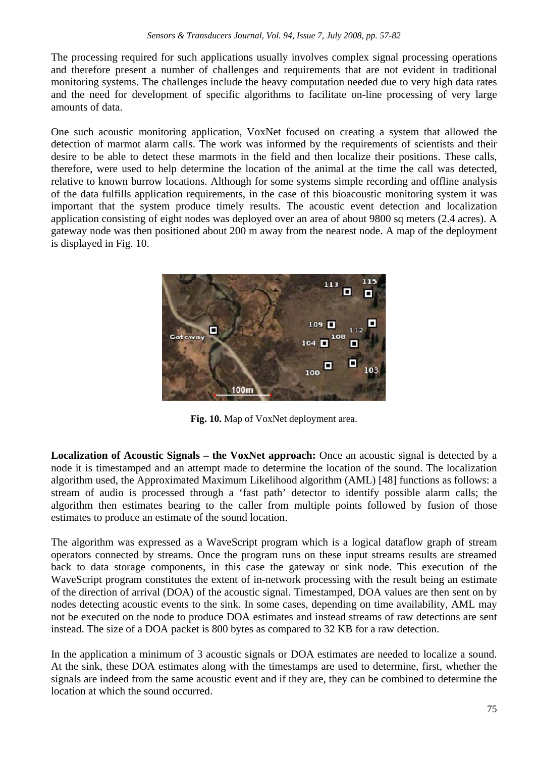The processing required for such applications usually involves complex signal processing operations and therefore present a number of challenges and requirements that are not evident in traditional monitoring systems. The challenges include the heavy computation needed due to very high data rates and the need for development of specific algorithms to facilitate on-line processing of very large amounts of data.

One such acoustic monitoring application, VoxNet focused on creating a system that allowed the detection of marmot alarm calls. The work was informed by the requirements of scientists and their desire to be able to detect these marmots in the field and then localize their positions. These calls, therefore, were used to help determine the location of the animal at the time the call was detected, relative to known burrow locations. Although for some systems simple recording and offline analysis of the data fulfills application requirements, in the case of this bioacoustic monitoring system it was important that the system produce timely results. The acoustic event detection and localization application consisting of eight nodes was deployed over an area of about 9800 sq meters (2.4 acres). A gateway node was then positioned about 200 m away from the nearest node. A map of the deployment is displayed in Fig. 10.



**Fig. 10.** Map of VoxNet deployment area.

**Localization of Acoustic Signals – the VoxNet approach:** Once an acoustic signal is detected by a node it is timestamped and an attempt made to determine the location of the sound. The localization algorithm used, the Approximated Maximum Likelihood algorithm (AML) [48] functions as follows: a stream of audio is processed through a 'fast path' detector to identify possible alarm calls; the algorithm then estimates bearing to the caller from multiple points followed by fusion of those estimates to produce an estimate of the sound location.

The algorithm was expressed as a WaveScript program which is a logical dataflow graph of stream operators connected by streams. Once the program runs on these input streams results are streamed back to data storage components, in this case the gateway or sink node. This execution of the WaveScript program constitutes the extent of in-network processing with the result being an estimate of the direction of arrival (DOA) of the acoustic signal. Timestamped, DOA values are then sent on by nodes detecting acoustic events to the sink. In some cases, depending on time availability, AML may not be executed on the node to produce DOA estimates and instead streams of raw detections are sent instead. The size of a DOA packet is 800 bytes as compared to 32 KB for a raw detection.

In the application a minimum of 3 acoustic signals or DOA estimates are needed to localize a sound. At the sink, these DOA estimates along with the timestamps are used to determine, first, whether the signals are indeed from the same acoustic event and if they are, they can be combined to determine the location at which the sound occurred.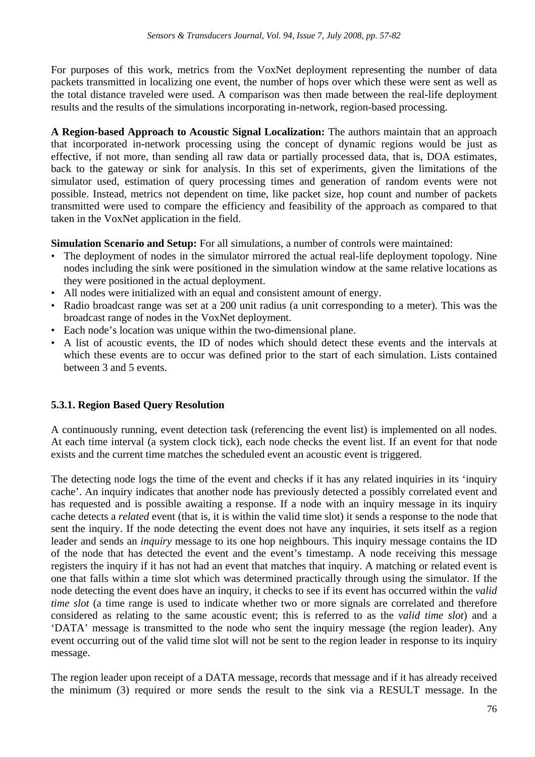For purposes of this work, metrics from the VoxNet deployment representing the number of data packets transmitted in localizing one event, the number of hops over which these were sent as well as the total distance traveled were used. A comparison was then made between the real-life deployment results and the results of the simulations incorporating in-network, region-based processing.

**A Region-based Approach to Acoustic Signal Localization:** The authors maintain that an approach that incorporated in-network processing using the concept of dynamic regions would be just as effective, if not more, than sending all raw data or partially processed data, that is, DOA estimates, back to the gateway or sink for analysis. In this set of experiments, given the limitations of the simulator used, estimation of query processing times and generation of random events were not possible. Instead, metrics not dependent on time, like packet size, hop count and number of packets transmitted were used to compare the efficiency and feasibility of the approach as compared to that taken in the VoxNet application in the field.

**Simulation Scenario and Setup:** For all simulations, a number of controls were maintained:

- The deployment of nodes in the simulator mirrored the actual real-life deployment topology. Nine nodes including the sink were positioned in the simulation window at the same relative locations as they were positioned in the actual deployment.
- All nodes were initialized with an equal and consistent amount of energy.
- Radio broadcast range was set at a 200 unit radius (a unit corresponding to a meter). This was the broadcast range of nodes in the VoxNet deployment.
- Each node's location was unique within the two-dimensional plane.
- A list of acoustic events, the ID of nodes which should detect these events and the intervals at which these events are to occur was defined prior to the start of each simulation. Lists contained between 3 and 5 events.

# **5.3.1. Region Based Query Resolution**

A continuously running, event detection task (referencing the event list) is implemented on all nodes. At each time interval (a system clock tick), each node checks the event list. If an event for that node exists and the current time matches the scheduled event an acoustic event is triggered.

The detecting node logs the time of the event and checks if it has any related inquiries in its 'inquiry cache'. An inquiry indicates that another node has previously detected a possibly correlated event and has requested and is possible awaiting a response. If a node with an inquiry message in its inquiry cache detects a *related* event (that is, it is within the valid time slot) it sends a response to the node that sent the inquiry. If the node detecting the event does not have any inquiries, it sets itself as a region leader and sends an *inquiry* message to its one hop neighbours. This inquiry message contains the ID of the node that has detected the event and the event's timestamp. A node receiving this message registers the inquiry if it has not had an event that matches that inquiry. A matching or related event is one that falls within a time slot which was determined practically through using the simulator. If the node detecting the event does have an inquiry, it checks to see if its event has occurred within the *valid time slot* (a time range is used to indicate whether two or more signals are correlated and therefore considered as relating to the same acoustic event; this is referred to as the *valid time slot*) and a 'DATA' message is transmitted to the node who sent the inquiry message (the region leader). Any event occurring out of the valid time slot will not be sent to the region leader in response to its inquiry message.

The region leader upon receipt of a DATA message, records that message and if it has already received the minimum (3) required or more sends the result to the sink via a RESULT message. In the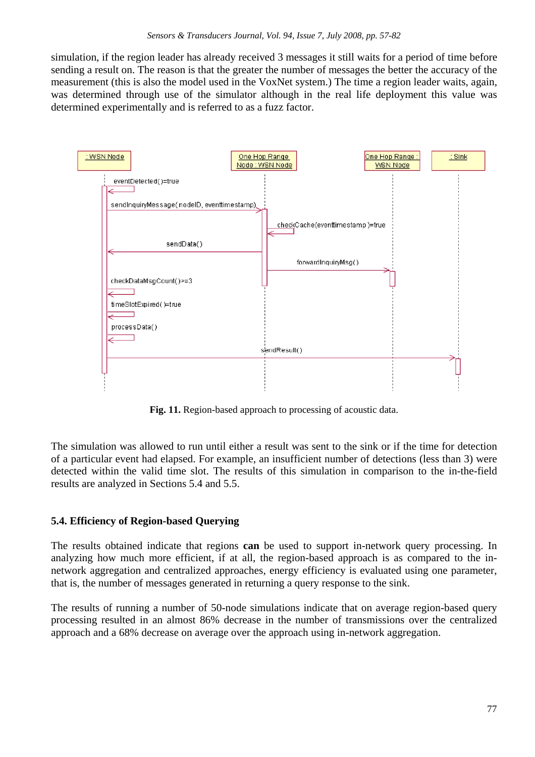simulation, if the region leader has already received 3 messages it still waits for a period of time before sending a result on. The reason is that the greater the number of messages the better the accuracy of the measurement (this is also the model used in the VoxNet system.) The time a region leader waits, again, was determined through use of the simulator although in the real life deployment this value was determined experimentally and is referred to as a fuzz factor.



**Fig. 11.** Region-based approach to processing of acoustic data.

The simulation was allowed to run until either a result was sent to the sink or if the time for detection of a particular event had elapsed. For example, an insufficient number of detections (less than 3) were detected within the valid time slot. The results of this simulation in comparison to the in-the-field results are analyzed in Sections 5.4 and 5.5.

# **5.4. Efficiency of Region-based Querying**

The results obtained indicate that regions **can** be used to support in-network query processing. In analyzing how much more efficient, if at all, the region-based approach is as compared to the innetwork aggregation and centralized approaches, energy efficiency is evaluated using one parameter, that is, the number of messages generated in returning a query response to the sink.

The results of running a number of 50-node simulations indicate that on average region-based query processing resulted in an almost 86% decrease in the number of transmissions over the centralized approach and a 68% decrease on average over the approach using in-network aggregation.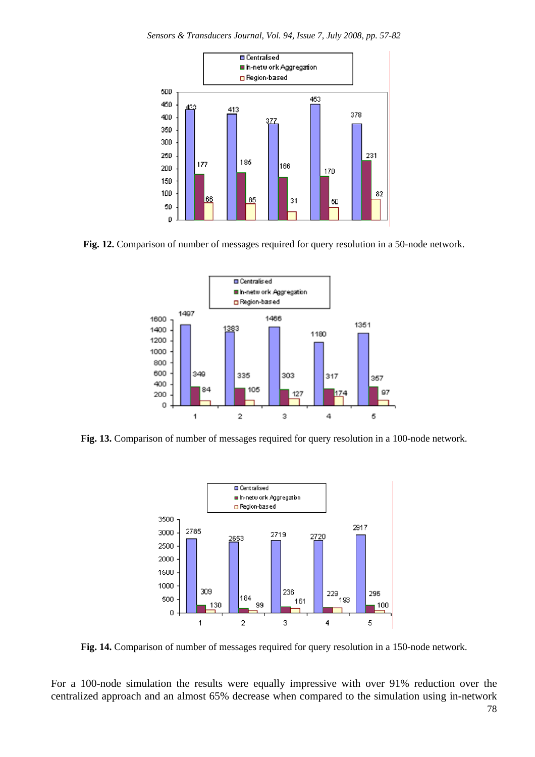*Sensors & Transducers Journal, Vol. 94, Issue 7, July 2008, pp. 57-82*



**Fig. 12.** Comparison of number of messages required for query resolution in a 50-node network.



**Fig. 13.** Comparison of number of messages required for query resolution in a 100-node network.



**Fig. 14.** Comparison of number of messages required for query resolution in a 150-node network.

For a 100-node simulation the results were equally impressive with over 91% reduction over the centralized approach and an almost 65% decrease when compared to the simulation using in-network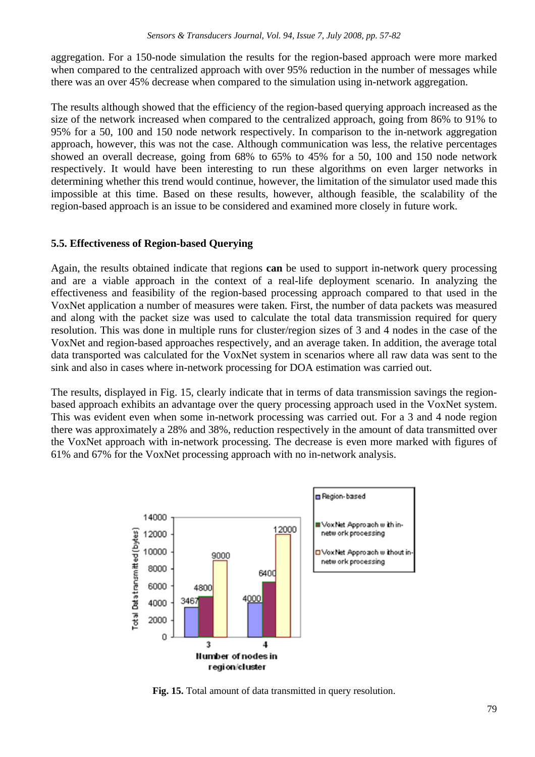aggregation. For a 150-node simulation the results for the region-based approach were more marked when compared to the centralized approach with over 95% reduction in the number of messages while there was an over 45% decrease when compared to the simulation using in-network aggregation.

The results although showed that the efficiency of the region-based querying approach increased as the size of the network increased when compared to the centralized approach, going from 86% to 91% to 95% for a 50, 100 and 150 node network respectively. In comparison to the in-network aggregation approach, however, this was not the case. Although communication was less, the relative percentages showed an overall decrease, going from 68% to 65% to 45% for a 50, 100 and 150 node network respectively. It would have been interesting to run these algorithms on even larger networks in determining whether this trend would continue, however, the limitation of the simulator used made this impossible at this time. Based on these results, however, although feasible, the scalability of the region-based approach is an issue to be considered and examined more closely in future work.

#### **5.5. Effectiveness of Region-based Querying**

Again, the results obtained indicate that regions **can** be used to support in-network query processing and are a viable approach in the context of a real-life deployment scenario. In analyzing the effectiveness and feasibility of the region-based processing approach compared to that used in the VoxNet application a number of measures were taken. First, the number of data packets was measured and along with the packet size was used to calculate the total data transmission required for query resolution. This was done in multiple runs for cluster/region sizes of 3 and 4 nodes in the case of the VoxNet and region-based approaches respectively, and an average taken. In addition, the average total data transported was calculated for the VoxNet system in scenarios where all raw data was sent to the sink and also in cases where in-network processing for DOA estimation was carried out.

The results, displayed in Fig. 15, clearly indicate that in terms of data transmission savings the regionbased approach exhibits an advantage over the query processing approach used in the VoxNet system. This was evident even when some in-network processing was carried out. For a 3 and 4 node region there was approximately a 28% and 38%, reduction respectively in the amount of data transmitted over the VoxNet approach with in-network processing. The decrease is even more marked with figures of 61% and 67% for the VoxNet processing approach with no in-network analysis.



**Fig. 15.** Total amount of data transmitted in query resolution.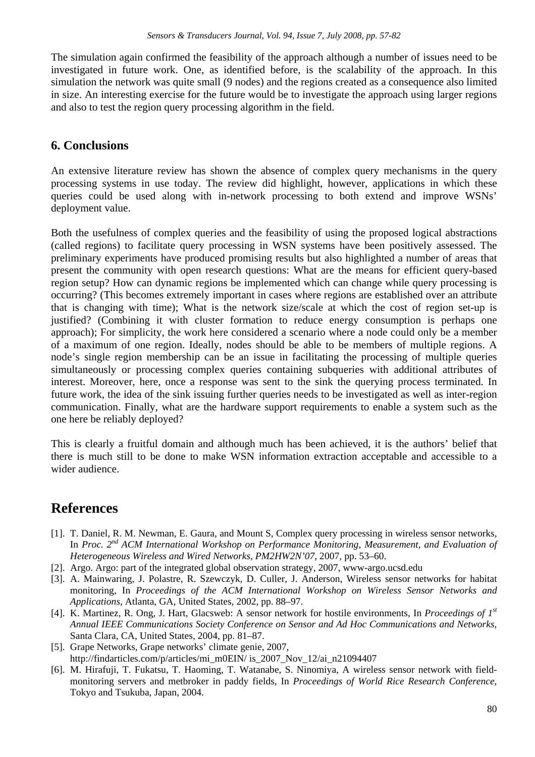The simulation again confirmed the feasibility of the approach although a number of issues need to be investigated in future work. One, as identified before, is the scalability of the approach. In this simulation the network was quite small (9 nodes) and the regions created as a consequence also limited in size. An interesting exercise for the future would be to investigate the approach using larger regions and also to test the region query processing algorithm in the field.

# **6. Conclusions**

An extensive literature review has shown the absence of complex query mechanisms in the query processing systems in use today. The review did highlight, however, applications in which these queries could be used along with in-network processing to both extend and improve WSNs' deployment value.

Both the usefulness of complex queries and the feasibility of using the proposed logical abstractions (called regions) to facilitate query processing in WSN systems have been positively assessed. The preliminary experiments have produced promising results but also highlighted a number of areas that present the community with open research questions: What are the means for efficient query-based region setup? How can dynamic regions be implemented which can change while query processing is occurring? (This becomes extremely important in cases where regions are established over an attribute that is changing with time); What is the network size/scale at which the cost of region set-up is justified? (Combining it with cluster formation to reduce energy consumption is perhaps one approach); For simplicity, the work here considered a scenario where a node could only be a member of a maximum of one region. Ideally, nodes should be able to be members of multiple regions. A node's single region membership can be an issue in facilitating the processing of multiple queries simultaneously or processing complex queries containing subqueries with additional attributes of interest. Moreover, here, once a response was sent to the sink the querying process terminated. In future work, the idea of the sink issuing further queries needs to be investigated as well as inter-region communication. Finally, what are the hardware support requirements to enable a system such as the one here be reliably deployed?

This is clearly a fruitful domain and although much has been achieved, it is the authors' belief that there is much still to be done to make WSN information extraction acceptable and accessible to a wider audience.

# **References**

- [1]. T. Daniel, R. M. Newman, E. Gaura, and Mount S, Complex query processing in wireless sensor networks, In *Proc. 2nd ACM International Workshop on Performance Monitoring, Measurement, and Evaluation of Heterogeneous Wireless and Wired Networks, PM2HW2N'07*, 2007*,* pp. 53–60.
- [2]. Argo. Argo: part of the integrated global observation strategy, 2007, www-argo.ucsd.edu
- [3]. A. Mainwaring, J. Polastre, R. Szewczyk, D. Culler, J. Anderson, Wireless sensor networks for habitat monitoring, In *Proceedings of the ACM International Workshop on Wireless Sensor Networks and Applications*, Atlanta, GA, United States, 2002*,* pp. 88–97.
- [4]. K. Martinez, R. Ong, J. Hart, Glacsweb: A sensor network for hostile environments, In *Proceedings of 1st Annual IEEE Communications Society Conference on Sensor and Ad Hoc Communications and Networks*, Santa Clara, CA, United States, 2004, pp. 81–87.
- [5]. Grape Networks, Grape networks' climate genie, 2007, http://findarticles.com/p/articles/mi\_m0EIN/ is\_2007\_Nov\_12/ai\_n21094407
- [6]. M. Hirafuji, T. Fukatsu, T. Haoming, T. Watanabe, S. Ninomiya, A wireless sensor network with fieldmonitoring servers and metbroker in paddy fields, In *Proceedings of World Rice Research Conference*, Tokyo and Tsukuba, Japan, 2004.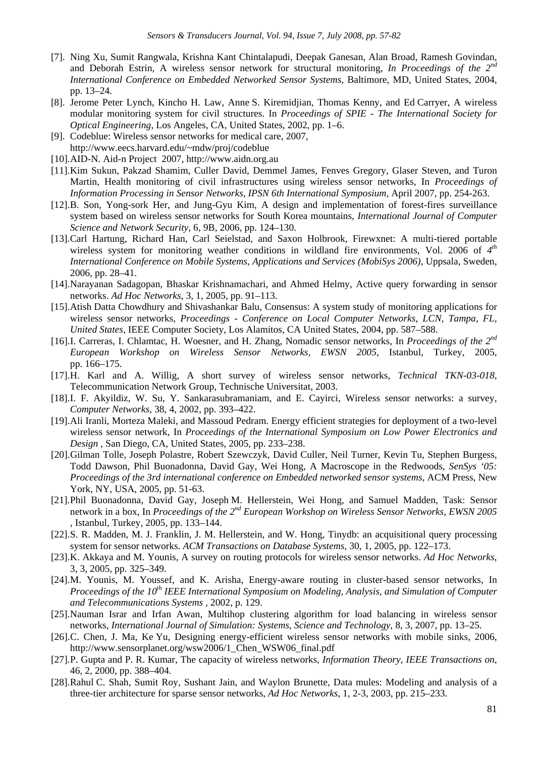- [7]. Ning Xu, Sumit Rangwala, Krishna Kant Chintalapudi, Deepak Ganesan, Alan Broad, Ramesh Govindan, and Deborah Estrin, A wireless sensor network for structural monitoring, *In Proceedings of the 2nd International Conference on Embedded Networked Sensor Systems*, Baltimore, MD, United States, 2004, pp. 13–24.
- [8]. Jerome Peter Lynch, Kincho H. Law, Anne S. Kiremidjian, Thomas Kenny, and Ed Carryer, A wireless modular monitoring system for civil structures. In *Proceedings of SPIE - The International Society for Optical Engineering*, Los Angeles, CA, United States, 2002, pp. 1–6.
- [9]. Codeblue: Wireless sensor networks for medical care, 2007,
- http://www.eecs.harvard.edu/~mdw/proj/codeblue
- [10]. AID-N. Aid-n Project 2007, http://www.aidn.org.au
- [11]. Kim Sukun, Pakzad Shamim, Culler David, Demmel James, Fenves Gregory, Glaser Steven, and Turon Martin, Health monitoring of civil infrastructures using wireless sensor networks, In *Proceedings of Information Processing in Sensor Networks, IPSN 6th International Symposium,* April 2007, pp. 254-263.
- [12]. B. Son, Yong-sork Her, and Jung-Gyu Kim, A design and implementation of forest-fires surveillance system based on wireless sensor networks for South Korea mountains, *International Journal of Computer Science and Network Security*, 6, 9B, 2006, pp. 124–130.
- [13]. Carl Hartung, Richard Han, Carl Seielstad, and Saxon Holbrook, Firewxnet: A multi-tiered portable wireless system for monitoring weather conditions in wildland fire environments, Vol. 2006 of *4th International Conference on Mobile Systems, Applications and Services (MobiSys 2006)*, Uppsala, Sweden, 2006, pp. 28–41.
- [14]. Narayanan Sadagopan, Bhaskar Krishnamachari, and Ahmed Helmy, Active query forwarding in sensor networks. *Ad Hoc Networks*, 3, 1, 2005, pp. 91–113.
- [15]. Atish Datta Chowdhury and Shivashankar Balu, Consensus: A system study of monitoring applications for wireless sensor networks, *Proceedings - Conference on Local Computer Networks, LCN, Tampa, FL, United States*, IEEE Computer Society, Los Alamitos, CA United States, 2004, pp. 587–588.
- [16]. I. Carreras, I. Chlamtac, H. Woesner, and H. Zhang, Nomadic sensor networks, In *Proceedings of the 2nd European Workshop on Wireless Sensor Networks, EWSN 2005*, Istanbul, Turkey, 2005, pp. 166–175.
- [17]. H. Karl and A. Willig, A short survey of wireless sensor networks, *Technical TKN-03-018*, Telecommunication Network Group, Technische Universitat, 2003.
- [18]. I. F. Akyildiz, W. Su, Y. Sankarasubramaniam, and E. Cayirci, Wireless sensor networks: a survey, *Computer Networks*, 38, 4, 2002, pp. 393–422.
- [19]. Ali Iranli, Morteza Maleki, and Massoud Pedram. Energy efficient strategies for deployment of a two-level wireless sensor network, In *Proceedings of the International Symposium on Low Power Electronics and Design* , San Diego, CA, United States, 2005*,* pp. 233–238.
- [20]. Gilman Tolle, Joseph Polastre, Robert Szewczyk, David Culler, Neil Turner, Kevin Tu, Stephen Burgess, Todd Dawson, Phil Buonadonna, David Gay, Wei Hong, A Macroscope in the Redwoods, *SenSys '05: Proceedings of the 3rd international conference on Embedded networked sensor systems*, ACM Press, New York, NY, USA, 2005, pp. 51-63.
- [21]. Phil Buonadonna, David Gay, Joseph M. Hellerstein, Wei Hong, and Samuel Madden, Task: Sensor network in a box, In *Proceedings of the 2nd European Workshop on Wireless Sensor Networks, EWSN 2005* , Istanbul, Turkey, 2005, pp. 133–144.
- [22]. S. R. Madden, M. J. Franklin, J. M. Hellerstein, and W. Hong, Tinydb: an acquisitional query processing system for sensor networks. *ACM Transactions on Database Systems*, 30, 1, 2005, pp. 122–173.
- [23]. K. Akkaya and M. Younis, A survey on routing protocols for wireless sensor networks. *Ad Hoc Networks*, 3, 3, 2005, pp. 325–349.
- [24]. M. Younis, M. Youssef, and K. Arisha, Energy-aware routing in cluster-based sensor networks, In *Proceedings of the 10<sup>th</sup> IEEE International Symposium on Modeling, Analysis, and Simulation of Computer and Telecommunications Systems* , 2002, p. 129.
- [25]. Nauman Israr and Irfan Awan, Multihop clustering algorithm for load balancing in wireless sensor networks, *International Journal of Simulation: Systems, Science and Technology*, 8, 3, 2007, pp. 13–25.
- [26]. C. Chen, J. Ma, Ke Yu, Designing energy-efficient wireless sensor networks with mobile sinks, 2006, http://www.sensorplanet.org/wsw2006/1\_Chen\_WSW06\_final.pdf
- [27]. P. Gupta and P. R. Kumar, The capacity of wireless networks, *Information Theory, IEEE Transactions on*, 46, 2, 2000, pp. 388–404.
- [28]. Rahul C. Shah, Sumit Roy, Sushant Jain, and Waylon Brunette, Data mules: Modeling and analysis of a three-tier architecture for sparse sensor networks, *Ad Hoc Networks*, 1, 2-3, 2003, pp. 215–233.